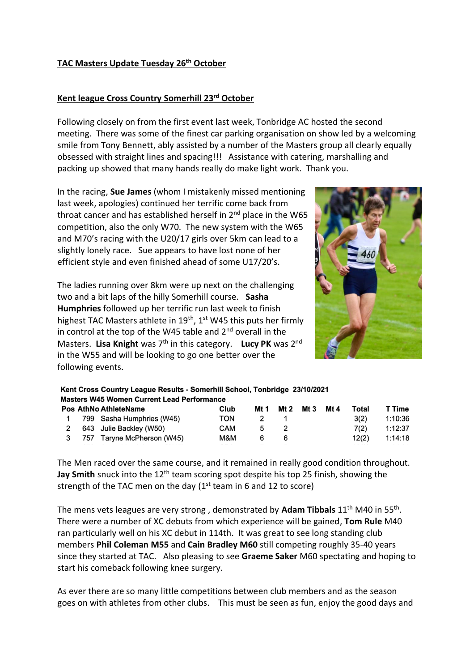### **TAC Masters Update Tuesday 26th October**

# **Kent league Cross Country Somerhill 23rd October**

Following closely on from the first event last week, Tonbridge AC hosted the second meeting. There was some of the finest car parking organisation on show led by a welcoming smile from Tony Bennett, ably assisted by a number of the Masters group all clearly equally obsessed with straight lines and spacing!!! Assistance with catering, marshalling and packing up showed that many hands really do make light work. Thank you.

In the racing, **Sue James** (whom I mistakenly missed mentioning last week, apologies) continued her terrific come back from throat cancer and has established herself in 2<sup>nd</sup> place in the W65 competition, also the only W70. The new system with the W65 and M70's racing with the U20/17 girls over 5km can lead to a slightly lonely race. Sue appears to have lost none of her efficient style and even finished ahead of some U17/20's.

The ladies running over 8km were up next on the challenging two and a bit laps of the hilly Somerhill course. **Sasha Humphries** followed up her terrific run last week to finish highest TAC Masters athlete in  $19<sup>th</sup>$ ,  $1<sup>st</sup>$  W45 this puts her firmly in control at the top of the W45 table and  $2<sup>nd</sup>$  overall in the Masters. Lisa Knight was 7<sup>th</sup> in this category. Lucy PK was 2<sup>nd</sup> in the W55 and will be looking to go one better over the following events.



# Kent Cross Country League Results - Somerhill School, Tonbridge 23/10/2021 **Masters W45 Women Current Lead Performance**

|  | <b>Pos AthNo AthleteName</b> | Club |     |  | Mt 1 Mt 2 Mt 3 Mt 4 | Total | T Time  |
|--|------------------------------|------|-----|--|---------------------|-------|---------|
|  | 1 799 Sasha Humphries (W45)  | TON  | 2 1 |  |                     | 3(2)  | 1:10:36 |
|  | 2 643 Julie Backley (W50)    | CAM  | 5 2 |  |                     | 7(2)  | 1:12:37 |
|  | 3 757 Taryne McPherson (W45) | M&M  | 66  |  |                     | 12(2) | 1:14:18 |
|  |                              |      |     |  |                     |       |         |

The Men raced over the same course, and it remained in really good condition throughout. **Jay Smith** snuck into the 12<sup>th</sup> team scoring spot despite his top 25 finish, showing the strength of the TAC men on the day  $(1<sup>st</sup>$  team in 6 and 12 to score)

The mens vets leagues are very strong , demonstrated by **Adam Tibbals** 11th M40 in 55th . There were a number of XC debuts from which experience will be gained, **Tom Rule** M40 ran particularly well on his XC debut in 114th. It was great to see long standing club members **Phil Coleman M55** and **Cain Bradley M60** still competing roughly 35-40 years since they started at TAC. Also pleasing to see **Graeme Saker** M60 spectating and hoping to start his comeback following knee surgery.

As ever there are so many little competitions between club members and as the season goes on with athletes from other clubs. This must be seen as fun, enjoy the good days and